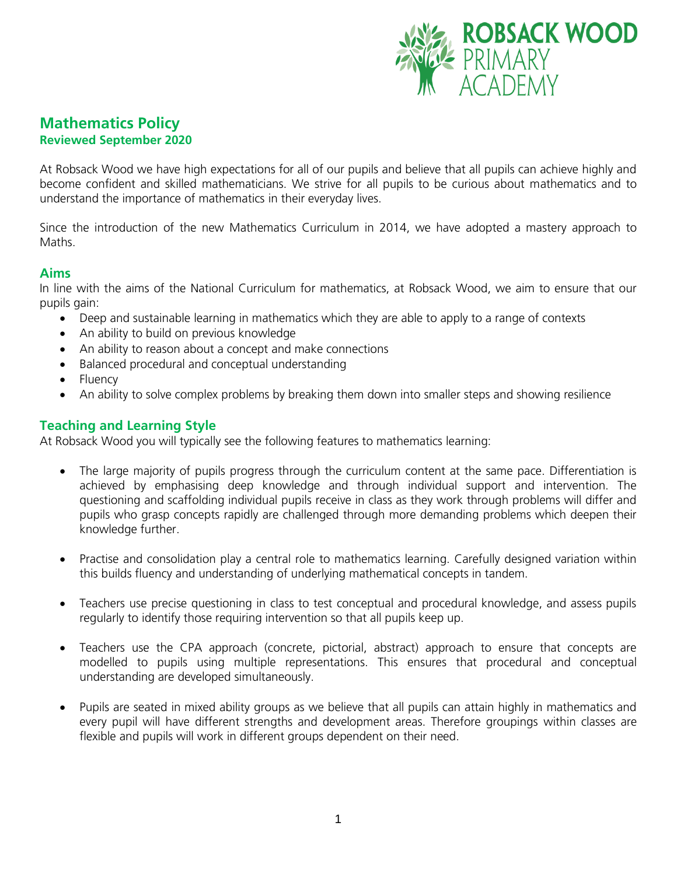

# **Mathematics Policy Reviewed September 2020**

At Robsack Wood we have high expectations for all of our pupils and believe that all pupils can achieve highly and become confident and skilled mathematicians. We strive for all pupils to be curious about mathematics and to understand the importance of mathematics in their everyday lives.

Since the introduction of the new Mathematics Curriculum in 2014, we have adopted a mastery approach to Maths.

# **Aims**

In line with the aims of the National Curriculum for mathematics, at Robsack Wood, we aim to ensure that our pupils gain:

- Deep and sustainable learning in mathematics which they are able to apply to a range of contexts
- An ability to build on previous knowledge
- An ability to reason about a concept and make connections
- Balanced procedural and conceptual understanding
- Fluency
- An ability to solve complex problems by breaking them down into smaller steps and showing resilience

# **Teaching and Learning Style**

At Robsack Wood you will typically see the following features to mathematics learning:

- The large majority of pupils progress through the curriculum content at the same pace. Differentiation is achieved by emphasising deep knowledge and through individual support and intervention. The questioning and scaffolding individual pupils receive in class as they work through problems will differ and pupils who grasp concepts rapidly are challenged through more demanding problems which deepen their knowledge further.
- Practise and consolidation play a central role to mathematics learning. Carefully designed variation within this builds fluency and understanding of underlying mathematical concepts in tandem.
- Teachers use precise questioning in class to test conceptual and procedural knowledge, and assess pupils regularly to identify those requiring intervention so that all pupils keep up.
- Teachers use the CPA approach (concrete, pictorial, abstract) approach to ensure that concepts are modelled to pupils using multiple representations. This ensures that procedural and conceptual understanding are developed simultaneously.
- Pupils are seated in mixed ability groups as we believe that all pupils can attain highly in mathematics and every pupil will have different strengths and development areas. Therefore groupings within classes are flexible and pupils will work in different groups dependent on their need.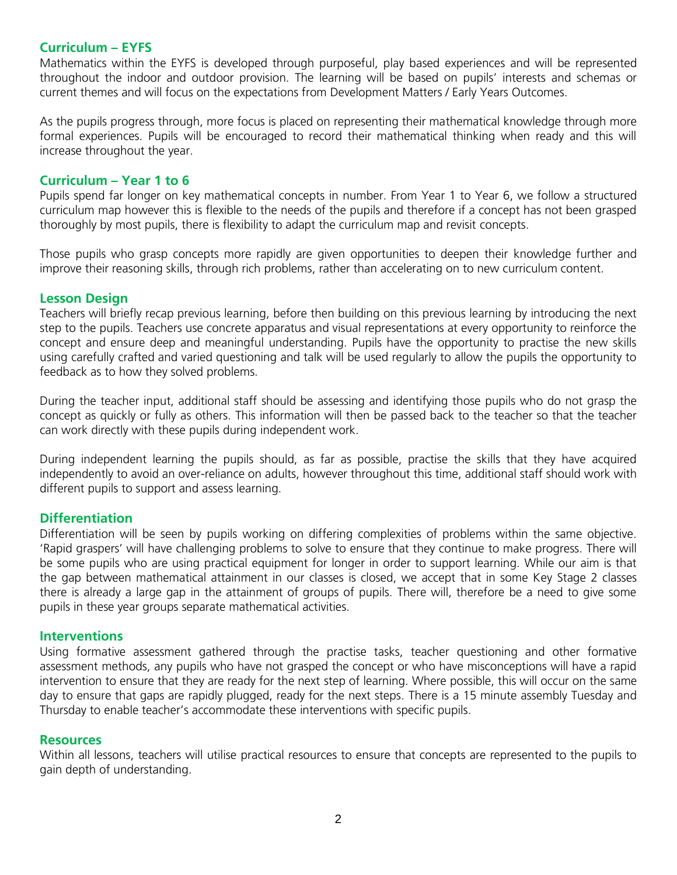# **Curriculum – EYFS**

Mathematics within the EYFS is developed through purposeful, play based experiences and will be represented throughout the indoor and outdoor provision. The learning will be based on pupils' interests and schemas or current themes and will focus on the expectations from Development Matters / Early Years Outcomes.

As the pupils progress through, more focus is placed on representing their mathematical knowledge through more formal experiences. Pupils will be encouraged to record their mathematical thinking when ready and this will increase throughout the year.

### **Curriculum – Year 1 to 6**

Pupils spend far longer on key mathematical concepts in number. From Year 1 to Year 6, we follow a structured curriculum map however this is flexible to the needs of the pupils and therefore if a concept has not been grasped thoroughly by most pupils, there is flexibility to adapt the curriculum map and revisit concepts.

Those pupils who grasp concepts more rapidly are given opportunities to deepen their knowledge further and improve their reasoning skills, through rich problems, rather than accelerating on to new curriculum content.

### **Lesson Design**

Teachers will briefly recap previous learning, before then building on this previous learning by introducing the next step to the pupils. Teachers use concrete apparatus and visual representations at every opportunity to reinforce the concept and ensure deep and meaningful understanding. Pupils have the opportunity to practise the new skills using carefully crafted and varied questioning and talk will be used regularly to allow the pupils the opportunity to feedback as to how they solved problems.

During the teacher input, additional staff should be assessing and identifying those pupils who do not grasp the concept as quickly or fully as others. This information will then be passed back to the teacher so that the teacher can work directly with these pupils during independent work.

During independent learning the pupils should, as far as possible, practise the skills that they have acquired independently to avoid an over-reliance on adults, however throughout this time, additional staff should work with different pupils to support and assess learning.

### **Differentiation**

Differentiation will be seen by pupils working on differing complexities of problems within the same objective. 'Rapid graspers' will have challenging problems to solve to ensure that they continue to make progress. There will be some pupils who are using practical equipment for longer in order to support learning. While our aim is that the gap between mathematical attainment in our classes is closed, we accept that in some Key Stage 2 classes there is already a large gap in the attainment of groups of pupils. There will, therefore be a need to give some pupils in these year groups separate mathematical activities.

### **Interventions**

Using formative assessment gathered through the practise tasks, teacher questioning and other formative assessment methods, any pupils who have not grasped the concept or who have misconceptions will have a rapid intervention to ensure that they are ready for the next step of learning. Where possible, this will occur on the same day to ensure that gaps are rapidly plugged, ready for the next steps. There is a 15 minute assembly Tuesday and Thursday to enable teacher's accommodate these interventions with specific pupils.

#### **Resources**

Within all lessons, teachers will utilise practical resources to ensure that concepts are represented to the pupils to gain depth of understanding.